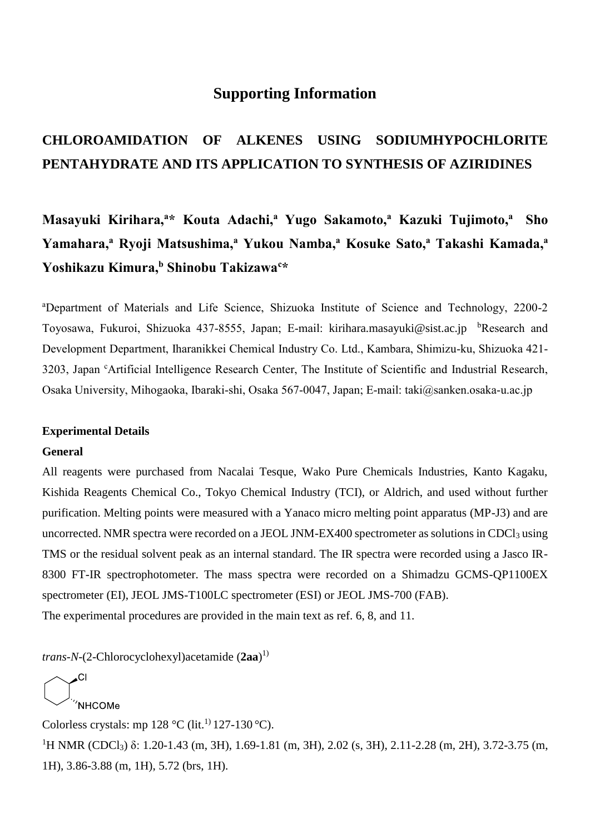# **Supporting Information**

# **CHLOROAMIDATION OF ALKENES USING SODIUMHYPOCHLORITE PENTAHYDRATE AND ITS APPLICATION TO SYNTHESIS OF AZIRIDINES**

**Masayuki Kirihara,<sup>a</sup>\* Kouta Adachi,<sup>a</sup> Yugo Sakamoto,<sup>a</sup> Kazuki Tujimoto, <sup>a</sup> Sho Yamahara,<sup>a</sup> Ryoji Matsushima,<sup>a</sup> Yukou Namba,<sup>a</sup> Kosuke Sato,<sup>a</sup> Takashi Kamada,<sup>a</sup> Yoshikazu Kimura,<sup>b</sup> Shinobu Takizawa<sup>c</sup>\***

<sup>a</sup>Department of Materials and Life Science, Shizuoka Institute of Science and Technology, 2200-2 Toyosawa, Fukuroi, Shizuoka 437-8555, Japan; E-mail: [kirihara.masayuki@sist.ac.jp](mailto:kirihara.masayuki@sist.ac.jp) bResearch and Development Department, Iharanikkei Chemical Industry Co. Ltd., Kambara, Shimizu-ku, Shizuoka 421- 3203, Japan <sup>c</sup>Artificial Intelligence Research Center, The Institute of Scientific and Industrial Research, Osaka University, Mihogaoka, Ibaraki-shi, Osaka 567-0047, Japan; E-mail: taki@sanken.osaka-u.ac.jp

#### **Experimental Details**

### **General**

All reagents were purchased from Nacalai Tesque, Wako Pure Chemicals Industries, Kanto Kagaku, Kishida Reagents Chemical Co., Tokyo Chemical Industry (TCI), or Aldrich, and used without further purification. Melting points were measured with a Yanaco micro melting point apparatus (MP-J3) and are uncorrected. NMR spectra were recorded on a JEOL JNM-EX400 spectrometer as solutions in CDCl<sub>3</sub> using TMS or the residual solvent peak as an internal standard. The IR spectra were recorded using a Jasco IR-8300 FT-IR spectrophotometer. The mass spectra were recorded on a Shimadzu GCMS-QP1100EX spectrometer (EI), JEOL JMS-T100LC spectrometer (ESI) or JEOL JMS-700 (FAB). The experimental procedures are provided in the main text as ref. 6, 8, and 11.

*trans-N*-(2-Chlorocyclohexyl)acetamide (**2aa**) 1)

NHCOMe Colorless crystals: mp  $128 \text{ °C (lit.}^{1)} 127-130 \text{ °C}).$ <sup>1</sup>H NMR (CDCl<sub>3</sub>) δ: 1.20-1.43 (m, 3H), 1.69-1.81 (m, 3H), 2.02 (s, 3H), 2.11-2.28 (m, 2H), 3.72-3.75 (m, 1H), 3.86-3.88 (m, 1H), 5.72 (brs, 1H).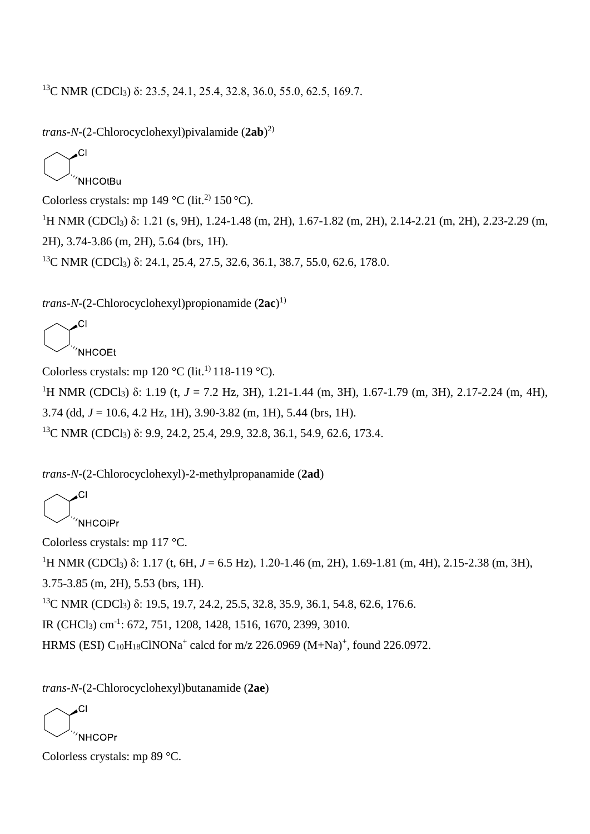<sup>13</sup>C NMR (CDCl<sub>3</sub>) δ: 23.5, 24.1, 25.4, 32.8, 36.0, 55.0, 62.5, 169.7.

*trans-N*-(2-Chlorocyclohexyl)pivalamide (**2ab**) 2)

$$
\text{C}^{\text{Cl}}_{\text{NHCOtBu}}
$$

Colorless crystals: mp  $149 \text{ °C}$  (lit.<sup>2)</sup> 150 °C).

<sup>1</sup>H NMR (CDCl<sub>3</sub>) δ: 1.21 (s, 9H), 1.24-1.48 (m, 2H), 1.67-1.82 (m, 2H), 2.14-2.21 (m, 2H), 2.23-2.29 (m, 2H), 3.74-3.86 (m, 2H), 5.64 (brs, 1H).

<sup>13</sup>C NMR (CDCl<sub>3</sub>) δ: 24.1, 25.4, 27.5, 32.6, 36.1, 38.7, 55.0, 62.6, 178.0.

*trans-N-*(2-Chlorocyclohexyl)propionamide (**2ac**) 1)

$$
\bigodot\nolimits^{Cl}_{\text{'NHCOE}}
$$

Colorless crystals: mp  $120 °C$  (lit.<sup>1)</sup> 118-119 °C).

<sup>1</sup>H NMR (CDCl<sub>3</sub>) δ: 1.19 (t, *J* = 7.2 Hz, 3H), 1.21-1.44 (m, 3H), 1.67-1.79 (m, 3H), 2.17-2.24 (m, 4H), 3.74 (dd, *J* = 10.6, 4.2 Hz, 1H), 3.90-3.82 (m, 1H), 5.44 (brs, 1H). <sup>13</sup>C NMR (CDCl<sub>3</sub>) δ: 9.9, 24.2, 25.4, 29.9, 32.8, 36.1, 54.9, 62.6, 173.4.

*trans-N-*(2-Chlorocyclohexyl)-2-methylpropanamide (**2ad**)

.CI **NHCOIPr** 

Colorless crystals: mp 117 °C.

<sup>1</sup>H NMR (CDCl<sub>3</sub>) δ: 1.17 (t, 6H, *J* = 6.5 Hz), 1.20-1.46 (m, 2H), 1.69-1.81 (m, 4H), 2.15-2.38 (m, 3H),

3.75-3.85 (m, 2H), 5.53 (brs, 1H).

<sup>13</sup>C NMR (CDCl<sub>3</sub>) δ: 19.5, 19.7, 24.2, 25.5, 32.8, 35.9, 36.1, 54.8, 62.6, 176.6.

IR (CHCl<sub>3</sub>) cm<sup>-1</sup>: 672, 751, 1208, 1428, 1516, 1670, 2399, 3010.

HRMS (ESI)  $C_{10}H_{18}CINONa^+$  calcd for m/z 226.0969 (M+Na)<sup>+</sup>, found 226.0972.

*trans-N-*(2-Chlorocyclohexyl)butanamide (**2ae**)

CI NHCOPr<sup></sup>

Colorless crystals: mp 89 °C.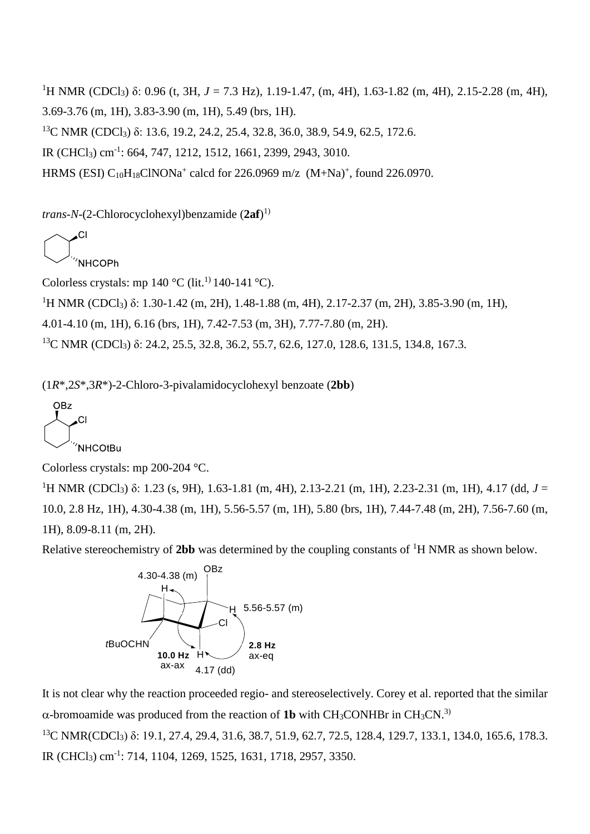<sup>1</sup>H NMR (CDCl<sub>3</sub>) δ: 0.96 (t, 3H, *J* = 7.3 Hz), 1.19-1.47, (m, 4H), 1.63-1.82 (m, 4H), 2.15-2.28 (m, 4H), 3.69-3.76 (m, 1H), 3.83-3.90 (m, 1H), 5.49 (brs, 1H). <sup>13</sup>C NMR (CDCl<sub>3</sub>) δ: 13.6, 19.2, 24.2, 25.4, 32.8, 36.0, 38.9, 54.9, 62.5, 172.6. IR (CHCl<sub>3</sub>) cm<sup>-1</sup>: 664, 747, 1212, 1512, 1661, 2399, 2943, 3010. HRMS (ESI)  $C_{10}H_{18}CINONa^+$  calcd for 226.0969 m/z  $(M+Na)^+$ , found 226.0970.

*trans-N-*(2-Chlorocyclohexyl)benzamide (**2af**) 1)

**NHCOPh** 

Colorless crystals: mp  $140^{\circ}$ C (lit.<sup>1)</sup> 140-141 <sup>o</sup>C).

<sup>1</sup>H NMR (CDCl<sub>3</sub>) δ: 1.30-1.42 (m, 2H), 1.48-1.88 (m, 4H), 2.17-2.37 (m, 2H), 3.85-3.90 (m, 1H),

4.01-4.10 (m, 1H), 6.16 (brs, 1H), 7.42-7.53 (m, 3H), 7.77-7.80 (m, 2H).

<sup>13</sup>C NMR (CDCl<sub>3</sub>) δ: 24.2, 25.5, 32.8, 36.2, 55.7, 62.6, 127.0, 128.6, 131.5, 134.8, 167.3.

(1*R*\*,2*S*\*,3*R*\*)-2-Chloro-3-pivalamidocyclohexyl benzoate (**2bb**)

**OBz** .CI 'NHCOtBu

Colorless crystals: mp 200-204 °C.

<sup>1</sup>H NMR (CDCl<sub>3</sub>) δ: 1.23 (s, 9H), 1.63-1.81 (m, 4H), 2.13-2.21 (m, 1H), 2.23-2.31 (m, 1H), 4.17 (dd, *J* = 10.0, 2.8 Hz, 1H), 4.30-4.38 (m, 1H), 5.56-5.57 (m, 1H), 5.80 (brs, 1H), 7.44-7.48 (m, 2H), 7.56-7.60 (m, 1H), 8.09-8.11 (m, 2H).

Relative stereochemistry of 2bb was determined by the coupling constants of <sup>1</sup>H NMR as shown below.



It is not clear why the reaction proceeded regio- and stereoselectively. Corey et al. reported that the similar  $\alpha$ -bromoamide was produced from the reaction of 1b with CH<sub>3</sub>CONHBr in CH<sub>3</sub>CN.<sup>3)</sup> <sup>13</sup>C NMR(CDCl<sub>3</sub>) δ: 19.1, 27.4, 29.4, 31.6, 38.7, 51.9, 62.7, 72.5, 128.4, 129.7, 133.1, 134.0, 165.6, 178.3. IR (CHCl3) cm-1 : 714, 1104, 1269, 1525, 1631, 1718, 2957, 3350.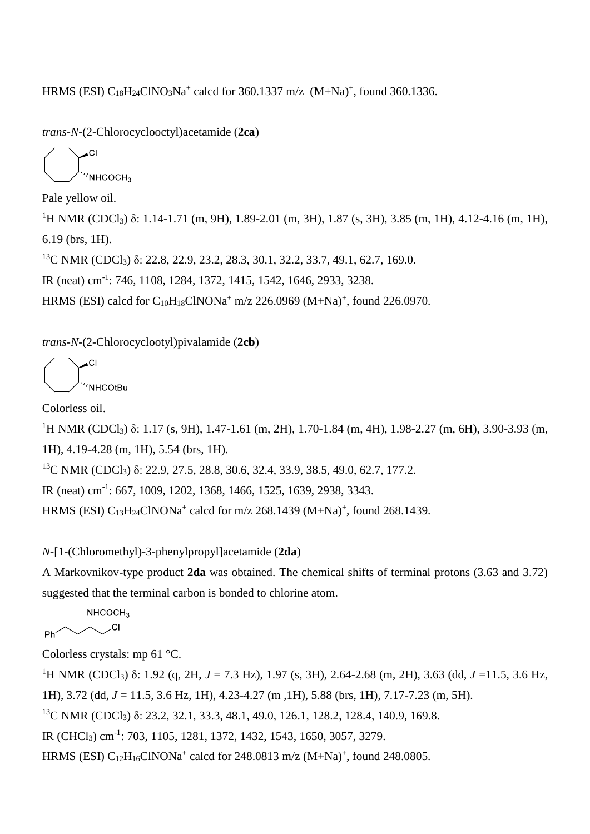HRMS (ESI)  $C_{18}H_{24}CINO_3Na^+$  calcd for 360.1337 m/z  $(M+Na)^+$ , found 360.1336.

*trans-N-*(2-Chlorocyclooctyl)acetamide (**2ca**)

 $'$ NHCOCH<sub>3</sub>

Pale yellow oil.

<sup>1</sup>H NMR (CDCl<sub>3</sub>) δ: 1.14-1.71 (m, 9H), 1.89-2.01 (m, 3H), 1.87 (s, 3H), 3.85 (m, 1H), 4.12-4.16 (m, 1H), 6.19 (brs, 1H).

<sup>13</sup>C NMR (CDCl<sub>3</sub>) δ: 22.8, 22.9, 23.2, 28.3, 30.1, 32.2, 33.7, 49.1, 62.7, 169.0.

IR (neat) cm-1 : 746, 1108, 1284, 1372, 1415, 1542, 1646, 2933, 3238.

HRMS (ESI) calcd for  $C_{10}H_{18}CINONa^+$  m/z 226.0969 (M+Na)<sup>+</sup>, found 226.0970.

*trans-N-*(2-Chlorocyclootyl)pivalamide (**2cb**)

C  $NHCO$ t $Bu$ 

Colorless oil.

<sup>1</sup>H NMR (CDCl<sub>3</sub>) δ: 1.17 (s, 9H), 1.47-1.61 (m, 2H), 1.70-1.84 (m, 4H), 1.98-2.27 (m, 6H), 3.90-3.93 (m,

1H), 4.19-4.28 (m, 1H), 5.54 (brs, 1H).

<sup>13</sup>C NMR (CDCl<sub>3</sub>) δ: 22.9, 27.5, 28.8, 30.6, 32.4, 33.9, 38.5, 49.0, 62.7, 177.2.

IR (neat) cm-1 : 667, 1009, 1202, 1368, 1466, 1525, 1639, 2938, 3343.

HRMS (ESI)  $C_{13}H_{24}CINONa^+$  calcd for m/z 268.1439 (M+Na)<sup>+</sup>, found 268.1439.

*N-*[1-(Chloromethyl)-3-phenylpropyl]acetamide (**2da**)

A Markovnikov-type product **2da** was obtained. The chemical shifts of terminal protons (3.63 and 3.72) suggested that the terminal carbon is bonded to chlorine atom.

NHCOCH<sub>3</sub> CI Dh'

Colorless crystals: mp 61 °C.

<sup>1</sup>H NMR (CDCl<sub>3</sub>) δ: 1.92 (q, 2H, *J* = 7.3 Hz), 1.97 (s, 3H), 2.64-2.68 (m, 2H), 3.63 (dd, *J* =11.5, 3.6 Hz, 1H), 3.72 (dd, *J* = 11.5, 3.6 Hz, 1H), 4.23-4.27 (m ,1H), 5.88 (brs, 1H), 7.17-7.23 (m, 5H). <sup>13</sup>C NMR (CDCl<sub>3</sub>) δ: 23.2, 32.1, 33.3, 48.1, 49.0, 126.1, 128.2, 128.4, 140.9, 169.8. IR (CHCl<sub>3</sub>) cm<sup>-1</sup>: 703, 1105, 1281, 1372, 1432, 1543, 1650, 3057, 3279.

HRMS (ESI)  $C_{12}H_{16}CINONa^+$  calcd for 248.0813 m/z (M+Na)<sup>+</sup>, found 248.0805.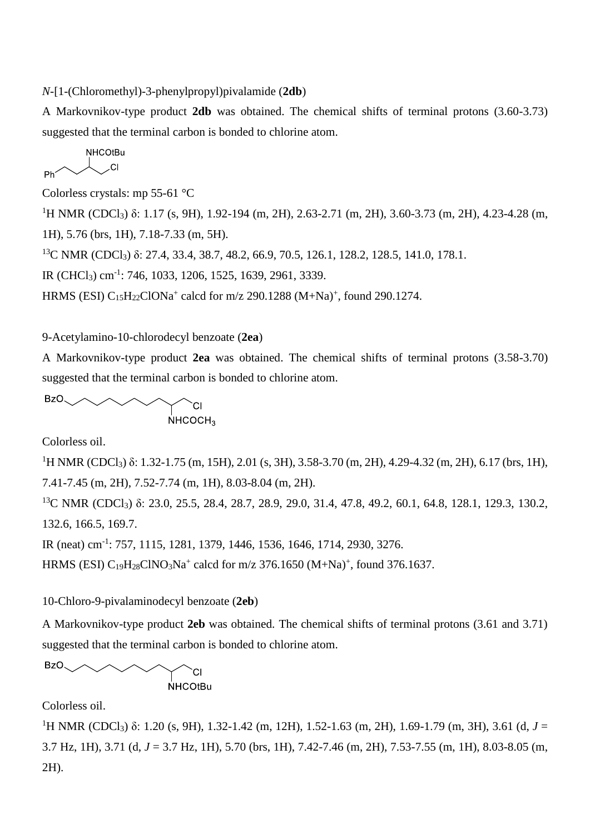*N-*[1-(Chloromethyl)-3-phenylpropyl)pivalamide (**2db**)

A Markovnikov-type product **2db** was obtained. The chemical shifts of terminal protons (3.60-3.73) suggested that the terminal carbon is bonded to chlorine atom.

$$
\begin{array}{c}\n\mathsf{NHCO} \mathsf{tBu} \\
\hline\n\mathsf{Ph} & \mathsf{Cl}\n\end{array}
$$

Colorless crystals: mp 55-61 °C

 $^{1}$ H NMR (CDCl<sub>3</sub>) δ: 1.17 (s, 9H), 1.92-194 (m, 2H), 2.63-2.71 (m, 2H), 3.60-3.73 (m, 2H), 4.23-4.28 (m, 1H), 5.76 (brs, 1H), 7.18-7.33 (m, 5H).

<sup>13</sup>C NMR (CDCl<sub>3</sub>) δ: 27.4, 33.4, 38.7, 48.2, 66.9, 70.5, 126.1, 128.2, 128.5, 141.0, 178.1.

IR (CHCl<sub>3</sub>) cm<sup>-1</sup>: 746, 1033, 1206, 1525, 1639, 2961, 3339.

HRMS (ESI)  $C_{15}H_{22}ClONa^{+}$  calcd for m/z 290.1288 (M+Na)<sup>+</sup>, found 290.1274.

9-Acetylamino-10-chlorodecyl benzoate (**2ea**)

A Markovnikov-type product **2ea** was obtained. The chemical shifts of terminal protons (3.58-3.70) suggested that the terminal carbon is bonded to chlorine atom.

BzO  $NHCOCH<sub>3</sub>$ 

Colorless oil.

<sup>1</sup>H NMR (CDCl<sub>3</sub>) δ: 1.32-1.75 (m, 15H), 2.01 (s, 3H), 3.58-3.70 (m, 2H), 4.29-4.32 (m, 2H), 6.17 (brs, 1H), 7.41-7.45 (m, 2H), 7.52-7.74 (m, 1H), 8.03-8.04 (m, 2H).

<sup>13</sup>C NMR (CDCl<sub>3</sub>) δ: 23.0, 25.5, 28.4, 28.7, 28.9, 29.0, 31.4, 47.8, 49.2, 60.1, 64.8, 128.1, 129.3, 130.2, 132.6, 166.5, 169.7.

IR (neat) cm-1 : 757, 1115, 1281, 1379, 1446, 1536, 1646, 1714, 2930, 3276.

HRMS (ESI)  $C_{19}H_{28}CINO_3Na^+$  calcd for m/z 376.1650 (M+Na)<sup>+</sup>, found 376.1637.

10-Chloro-9-pivalaminodecyl benzoate (**2eb**)

A Markovnikov-type product **2eb** was obtained. The chemical shifts of terminal protons (3.61 and 3.71) suggested that the terminal carbon is bonded to chlorine atom.

$$
BZO \qquad \qquad \text{CII}
$$

Colorless oil.

<sup>1</sup>H NMR (CDCl<sub>3</sub>) δ: 1.20 (s, 9H), 1.32-1.42 (m, 12H), 1.52-1.63 (m, 2H), 1.69-1.79 (m, 3H), 3.61 (d, *J* = 3.7 Hz, 1H), 3.71 (d, *J* = 3.7 Hz, 1H), 5.70 (brs, 1H), 7.42-7.46 (m, 2H), 7.53-7.55 (m, 1H), 8.03-8.05 (m, 2H).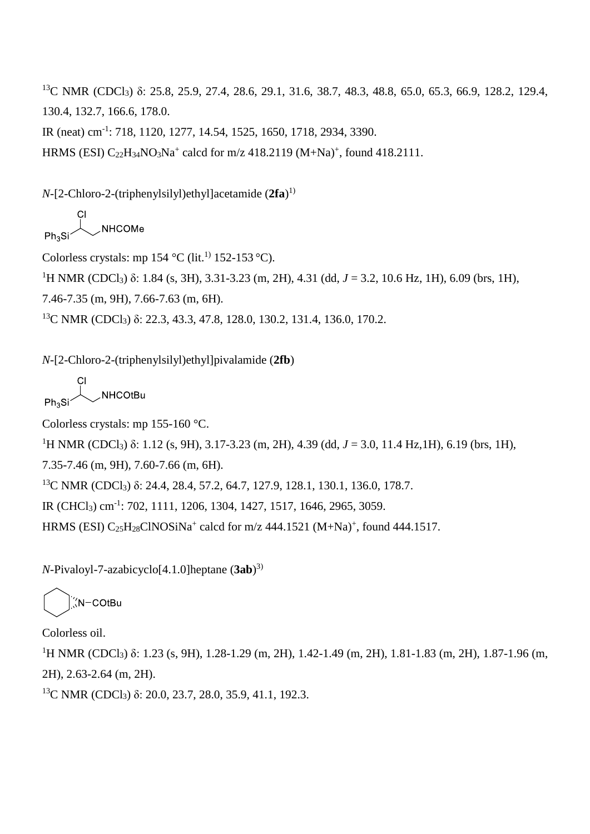<sup>13</sup>C NMR (CDCl<sub>3</sub>) δ: 25.8, 25.9, 27.4, 28.6, 29.1, 31.6, 38.7, 48.3, 48.8, 65.0, 65.3, 66.9, 128.2, 129.4, 130.4, 132.7, 166.6, 178.0.

IR (neat) cm-1 : 718, 1120, 1277, 14.54, 1525, 1650, 1718, 2934, 3390.

HRMS (ESI)  $C_{22}H_{34}NO_3Na^+$  calcd for m/z 418.2119 (M+Na)<sup>+</sup>, found 418.2111.

*N*-[2-Chloro-2-(triphenylsilyl)ethyl]acetamide (**2fa**) 1)

NHCOMe

Colorless crystals: mp 154 °C (lit.<sup>1)</sup> 152-153 °C).

<sup>1</sup>H NMR (CDCl<sub>3</sub>) δ: 1.84 (s, 3H), 3.31-3.23 (m, 2H), 4.31 (dd, *J* = 3.2, 10.6 Hz, 1H), 6.09 (brs, 1H),

7.46-7.35 (m, 9H), 7.66-7.63 (m, 6H).

<sup>13</sup>C NMR (CDCl<sub>3</sub>) δ: 22.3, 43.3, 47.8, 128.0, 130.2, 131.4, 136.0, 170.2.

*N*-[2-Chloro-2-(triphenylsilyl)ethyl]pivalamide (**2fb**)

**NHCOtBu** 

Colorless crystals: mp 155-160 °C.

<sup>1</sup>H NMR (CDCl<sub>3</sub>) δ: 1.12 (s, 9H), 3.17-3.23 (m, 2H), 4.39 (dd, *J* = 3.0, 11.4 Hz,1H), 6.19 (brs, 1H),

7.35-7.46 (m, 9H), 7.60-7.66 (m, 6H).

<sup>13</sup>C NMR (CDCl<sub>3</sub>) δ: 24.4, 28.4, 57.2, 64.7, 127.9, 128.1, 130.1, 136.0, 178.7.

IR (CHCl<sub>3</sub>) cm<sup>-1</sup>: 702, 1111, 1206, 1304, 1427, 1517, 1646, 2965, 3059.

HRMS (ESI)  $C_{25}H_{28}C$ INOSiNa<sup>+</sup> calcd for m/z 444.1521 (M+Na)<sup>+</sup>, found 444.1517.

*N*-Pivaloyl-7-azabicyclo[4.1.0]heptane (**3ab**) 3)

N-COtBu

Colorless oil.

<sup>1</sup>H NMR (CDCl<sub>3</sub>) δ: 1.23 (s, 9H), 1.28-1.29 (m, 2H), 1.42-1.49 (m, 2H), 1.81-1.83 (m, 2H), 1.87-1.96 (m, 2H), 2.63-2.64 (m, 2H).

<sup>13</sup>C NMR (CDCl<sub>3</sub>) δ: 20.0, 23.7, 28.0, 35.9, 41.1, 192.3.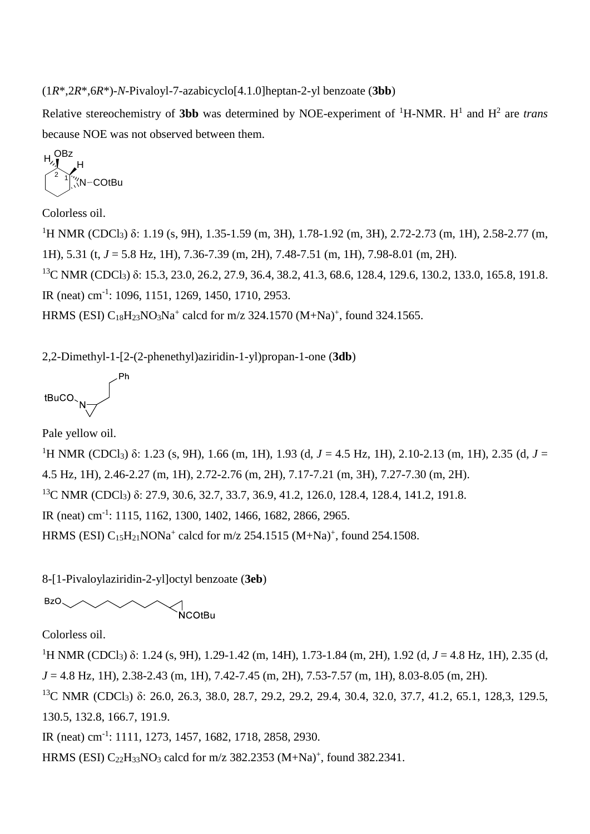(1*R*\*,2*R*\*,6*R*\*)-*N*-Pivaloyl-7-azabicyclo[4.1.0]heptan-2-yl benzoate (**3bb**)

Relative stereochemistry of **3bb** was determined by NOE-experiment of <sup>1</sup>H-NMR. H<sup>1</sup> and H<sup>2</sup> are *trans* because NOE was not observed between them.

$$
H^{\text{OBz}}_{\text{M}}H
$$
\n
$$
H^{\text{OMZ}}_{\text{M}}H
$$

Colorless oil.

<sup>1</sup>H NMR (CDCl<sub>3</sub>) δ: 1.19 (s, 9H), 1.35-1.59 (m, 3H), 1.78-1.92 (m, 3H), 2.72-2.73 (m, 1H), 2.58-2.77 (m, 1H), 5.31 (t, *J* = 5.8 Hz, 1H), 7.36-7.39 (m, 2H), 7.48-7.51 (m, 1H), 7.98-8.01 (m, 2H).

<sup>13</sup>C NMR (CDCl<sub>3</sub>) δ: 15.3, 23.0, 26.2, 27.9, 36.4, 38.2, 41.3, 68.6, 128.4, 129.6, 130.2, 133.0, 165.8, 191.8. IR (neat) cm-1 : 1096, 1151, 1269, 1450, 1710, 2953.

HRMS (ESI)  $C_{18}H_{23}NO_3Na^+$  calcd for m/z 324.1570 (M+Na)<sup>+</sup>, found 324.1565.

2,2-Dimethyl-1-[2-(2-phenethyl)aziridin-1-yl)propan-1-one (**3db**)

$$
\text{tBuCO}_{\text{N}}\text{Fh}
$$

Pale yellow oil.

<sup>1</sup>H NMR (CDCl<sub>3</sub>) δ: 1.23 (s, 9H), 1.66 (m, 1H), 1.93 (d, *J* = 4.5 Hz, 1H), 2.10-2.13 (m, 1H), 2.35 (d, *J* = 4.5 Hz, 1H), 2.46-2.27 (m, 1H), 2.72-2.76 (m, 2H), 7.17-7.21 (m, 3H), 7.27-7.30 (m, 2H). <sup>13</sup>C NMR (CDCl<sub>3</sub>) δ: 27.9, 30.6, 32.7, 33.7, 36.9, 41.2, 126.0, 128.4, 128.4, 141.2, 191.8. IR (neat) cm-1 : 1115, 1162, 1300, 1402, 1466, 1682, 2866, 2965. HRMS (ESI)  $C_{15}H_{21}NONa^{+}$  calcd for m/z 254.1515 (M+Na)<sup>+</sup>, found 254.1508.

8-[1-Pivaloylaziridin-2-yl]octyl benzoate (**3eb**)

NCOtBu

Colorless oil.

BzO.

<sup>1</sup>H NMR (CDCl<sub>3</sub>) δ: 1.24 (s, 9H), 1.29-1.42 (m, 14H), 1.73-1.84 (m, 2H), 1.92 (d, *J* = 4.8 Hz, 1H), 2.35 (d, *J* = 4.8 Hz, 1H), 2.38-2.43 (m, 1H), 7.42-7.45 (m, 2H), 7.53-7.57 (m, 1H), 8.03-8.05 (m, 2H).

<sup>13</sup>C NMR (CDCl<sub>3</sub>) δ: 26.0, 26.3, 38.0, 28.7, 29.2, 29.2, 29.4, 30.4, 32.0, 37.7, 41.2, 65.1, 128,3, 129.5, 130.5, 132.8, 166.7, 191.9.

IR (neat) cm-1 : 1111, 1273, 1457, 1682, 1718, 2858, 2930.

HRMS (ESI)  $C_{22}H_{33}NO_3$  calcd for m/z 382.2353 (M+Na)<sup>+</sup>, found 382.2341.